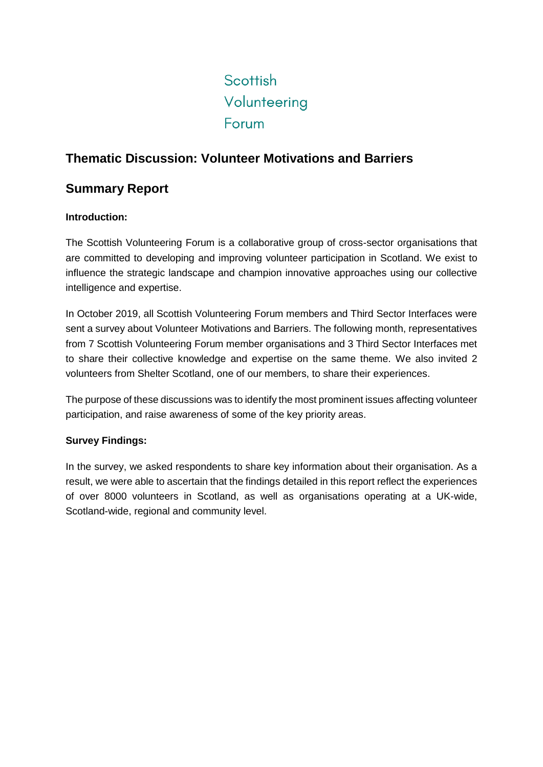# Scottish Volunteering Forum

## **Thematic Discussion: Volunteer Motivations and Barriers**

### **Summary Report**

#### **Introduction:**

The Scottish Volunteering Forum is a collaborative group of cross-sector organisations that are committed to developing and improving volunteer participation in Scotland. We exist to influence the strategic landscape and champion innovative approaches using our collective intelligence and expertise.

In October 2019, all Scottish Volunteering Forum members and Third Sector Interfaces were sent a survey about Volunteer Motivations and Barriers. The following month, representatives from 7 Scottish Volunteering Forum member organisations and 3 Third Sector Interfaces met to share their collective knowledge and expertise on the same theme. We also invited 2 volunteers from Shelter Scotland, one of our members, to share their experiences.

The purpose of these discussions was to identify the most prominent issues affecting volunteer participation, and raise awareness of some of the key priority areas.

#### **Survey Findings:**

In the survey, we asked respondents to share key information about their organisation. As a result, we were able to ascertain that the findings detailed in this report reflect the experiences of over 8000 volunteers in Scotland, as well as organisations operating at a UK-wide, Scotland-wide, regional and community level.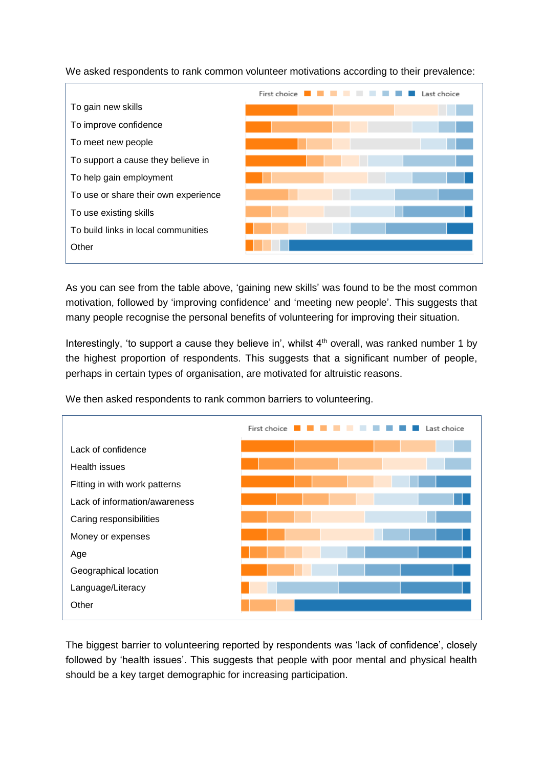We asked respondents to rank common volunteer motivations according to their prevalence:



As you can see from the table above, 'gaining new skills' was found to be the most common motivation, followed by 'improving confidence' and 'meeting new people'. This suggests that many people recognise the personal benefits of volunteering for improving their situation.

Interestingly, 'to support a cause they believe in', whilst  $4<sup>th</sup>$  overall, was ranked number 1 by the highest proportion of respondents. This suggests that a significant number of people, perhaps in certain types of organisation, are motivated for altruistic reasons.

We then asked respondents to rank common barriers to volunteering.



The biggest barrier to volunteering reported by respondents was 'lack of confidence', closely followed by 'health issues'. This suggests that people with poor mental and physical health should be a key target demographic for increasing participation.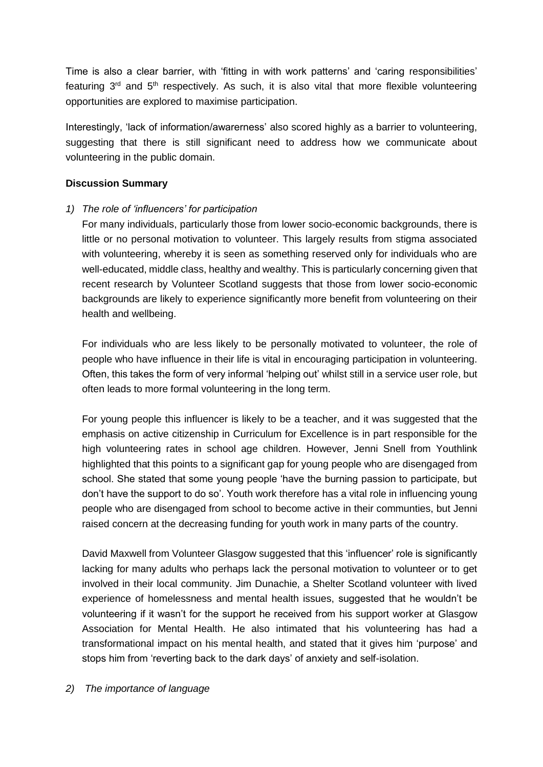Time is also a clear barrier, with 'fitting in with work patterns' and 'caring responsibilities' featuring  $3<sup>rd</sup>$  and  $5<sup>th</sup>$  respectively. As such, it is also vital that more flexible volunteering opportunities are explored to maximise participation.

Interestingly, 'lack of information/awarerness' also scored highly as a barrier to volunteering, suggesting that there is still significant need to address how we communicate about volunteering in the public domain.

#### **Discussion Summary**

*1) The role of 'influencers' for participation*

For many individuals, particularly those from lower socio-economic backgrounds, there is little or no personal motivation to volunteer. This largely results from stigma associated with volunteering, whereby it is seen as something reserved only for individuals who are well-educated, middle class, healthy and wealthy. This is particularly concerning given that recent research by Volunteer Scotland suggests that those from lower socio-economic backgrounds are likely to experience significantly more benefit from volunteering on their health and wellbeing.

For individuals who are less likely to be personally motivated to volunteer, the role of people who have influence in their life is vital in encouraging participation in volunteering. Often, this takes the form of very informal 'helping out' whilst still in a service user role, but often leads to more formal volunteering in the long term.

For young people this influencer is likely to be a teacher, and it was suggested that the emphasis on active citizenship in Curriculum for Excellence is in part responsible for the high volunteering rates in school age children. However, Jenni Snell from Youthlink highlighted that this points to a significant gap for young people who are disengaged from school. She stated that some young people 'have the burning passion to participate, but don't have the support to do so'. Youth work therefore has a vital role in influencing young people who are disengaged from school to become active in their communties, but Jenni raised concern at the decreasing funding for youth work in many parts of the country.

David Maxwell from Volunteer Glasgow suggested that this 'influencer' role is significantly lacking for many adults who perhaps lack the personal motivation to volunteer or to get involved in their local community. Jim Dunachie, a Shelter Scotland volunteer with lived experience of homelessness and mental health issues, suggested that he wouldn't be volunteering if it wasn't for the support he received from his support worker at Glasgow Association for Mental Health. He also intimated that his volunteering has had a transformational impact on his mental health, and stated that it gives him 'purpose' and stops him from 'reverting back to the dark days' of anxiety and self-isolation.

#### *2) The importance of language*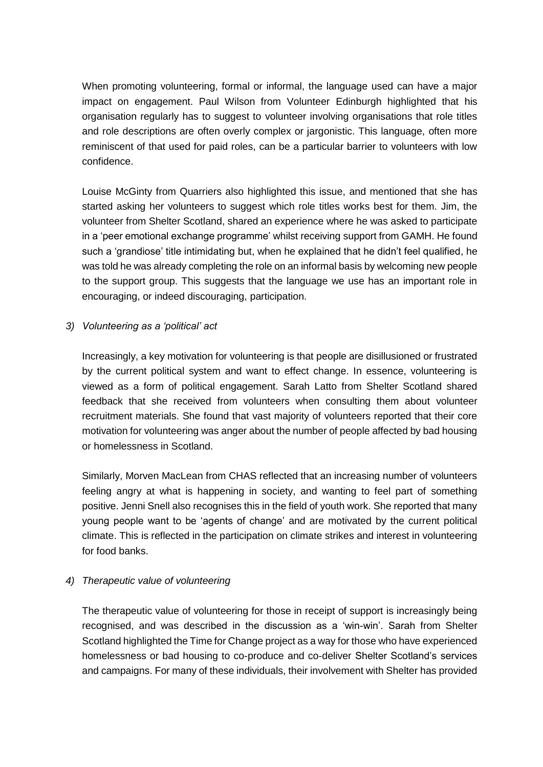When promoting volunteering, formal or informal, the language used can have a major impact on engagement. Paul Wilson from Volunteer Edinburgh highlighted that his organisation regularly has to suggest to volunteer involving organisations that role titles and role descriptions are often overly complex or jargonistic. This language, often more reminiscent of that used for paid roles, can be a particular barrier to volunteers with low confidence.

Louise McGinty from Quarriers also highlighted this issue, and mentioned that she has started asking her volunteers to suggest which role titles works best for them. Jim, the volunteer from Shelter Scotland, shared an experience where he was asked to participate in a 'peer emotional exchange programme' whilst receiving support from GAMH. He found such a 'grandiose' title intimidating but, when he explained that he didn't feel qualified, he was told he was already completing the role on an informal basis by welcoming new people to the support group. This suggests that the language we use has an important role in encouraging, or indeed discouraging, participation.

#### *3) Volunteering as a 'political' act*

Increasingly, a key motivation for volunteering is that people are disillusioned or frustrated by the current political system and want to effect change. In essence, volunteering is viewed as a form of political engagement. Sarah Latto from Shelter Scotland shared feedback that she received from volunteers when consulting them about volunteer recruitment materials. She found that vast majority of volunteers reported that their core motivation for volunteering was anger about the number of people affected by bad housing or homelessness in Scotland.

Similarly, Morven MacLean from CHAS reflected that an increasing number of volunteers feeling angry at what is happening in society, and wanting to feel part of something positive. Jenni Snell also recognises this in the field of youth work. She reported that many young people want to be 'agents of change' and are motivated by the current political climate. This is reflected in the participation on climate strikes and interest in volunteering for food banks.

#### *4) Therapeutic value of volunteering*

The therapeutic value of volunteering for those in receipt of support is increasingly being recognised, and was described in the discussion as a 'win-win'. Sarah from Shelter Scotland highlighted the Time for Change project as a way for those who have experienced homelessness or bad housing to co-produce and co-deliver Shelter Scotland's services and campaigns. For many of these individuals, their involvement with Shelter has provided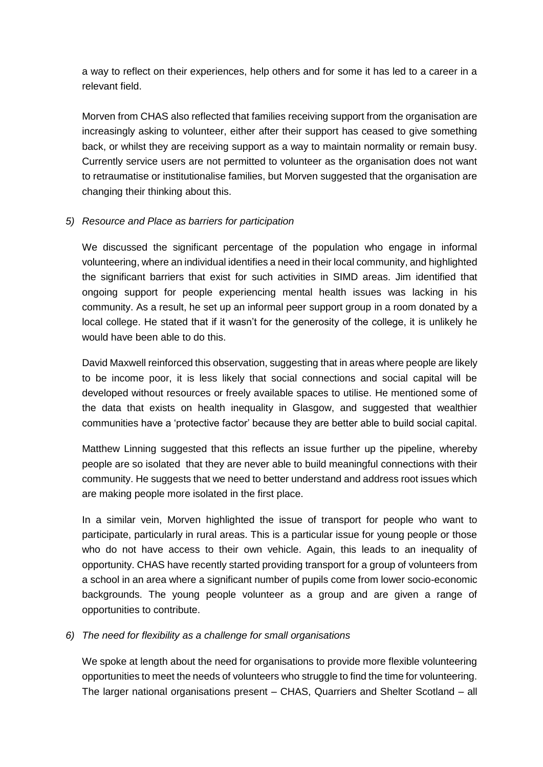a way to reflect on their experiences, help others and for some it has led to a career in a relevant field.

Morven from CHAS also reflected that families receiving support from the organisation are increasingly asking to volunteer, either after their support has ceased to give something back, or whilst they are receiving support as a way to maintain normality or remain busy. Currently service users are not permitted to volunteer as the organisation does not want to retraumatise or institutionalise families, but Morven suggested that the organisation are changing their thinking about this.

#### *5) Resource and Place as barriers for participation*

We discussed the significant percentage of the population who engage in informal volunteering, where an individual identifies a need in their local community, and highlighted the significant barriers that exist for such activities in SIMD areas. Jim identified that ongoing support for people experiencing mental health issues was lacking in his community. As a result, he set up an informal peer support group in a room donated by a local college. He stated that if it wasn't for the generosity of the college, it is unlikely he would have been able to do this.

David Maxwell reinforced this observation, suggesting that in areas where people are likely to be income poor, it is less likely that social connections and social capital will be developed without resources or freely available spaces to utilise. He mentioned some of the data that exists on health inequality in Glasgow, and suggested that wealthier communities have a 'protective factor' because they are better able to build social capital.

Matthew Linning suggested that this reflects an issue further up the pipeline, whereby people are so isolated that they are never able to build meaningful connections with their community. He suggests that we need to better understand and address root issues which are making people more isolated in the first place.

In a similar vein, Morven highlighted the issue of transport for people who want to participate, particularly in rural areas. This is a particular issue for young people or those who do not have access to their own vehicle. Again, this leads to an inequality of opportunity. CHAS have recently started providing transport for a group of volunteers from a school in an area where a significant number of pupils come from lower socio-economic backgrounds. The young people volunteer as a group and are given a range of opportunities to contribute.

#### *6) The need for flexibility as a challenge for small organisations*

We spoke at length about the need for organisations to provide more flexible volunteering opportunities to meet the needs of volunteers who struggle to find the time for volunteering. The larger national organisations present – CHAS, Quarriers and Shelter Scotland – all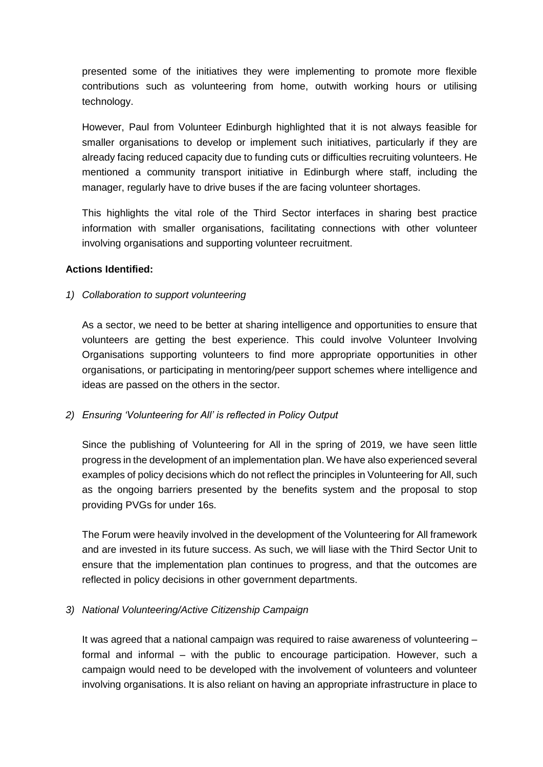presented some of the initiatives they were implementing to promote more flexible contributions such as volunteering from home, outwith working hours or utilising technology.

However, Paul from Volunteer Edinburgh highlighted that it is not always feasible for smaller organisations to develop or implement such initiatives, particularly if they are already facing reduced capacity due to funding cuts or difficulties recruiting volunteers. He mentioned a community transport initiative in Edinburgh where staff, including the manager, regularly have to drive buses if the are facing volunteer shortages.

This highlights the vital role of the Third Sector interfaces in sharing best practice information with smaller organisations, facilitating connections with other volunteer involving organisations and supporting volunteer recruitment.

#### **Actions Identified:**

#### *1) Collaboration to support volunteering*

As a sector, we need to be better at sharing intelligence and opportunities to ensure that volunteers are getting the best experience. This could involve Volunteer Involving Organisations supporting volunteers to find more appropriate opportunities in other organisations, or participating in mentoring/peer support schemes where intelligence and ideas are passed on the others in the sector.

*2) Ensuring 'Volunteering for All' is reflected in Policy Output*

Since the publishing of Volunteering for All in the spring of 2019, we have seen little progress in the development of an implementation plan. We have also experienced several examples of policy decisions which do not reflect the principles in Volunteering for All, such as the ongoing barriers presented by the benefits system and the proposal to stop providing PVGs for under 16s.

The Forum were heavily involved in the development of the Volunteering for All framework and are invested in its future success. As such, we will liase with the Third Sector Unit to ensure that the implementation plan continues to progress, and that the outcomes are reflected in policy decisions in other government departments.

#### *3) National Volunteering/Active Citizenship Campaign*

It was agreed that a national campaign was required to raise awareness of volunteering – formal and informal – with the public to encourage participation. However, such a campaign would need to be developed with the involvement of volunteers and volunteer involving organisations. It is also reliant on having an appropriate infrastructure in place to